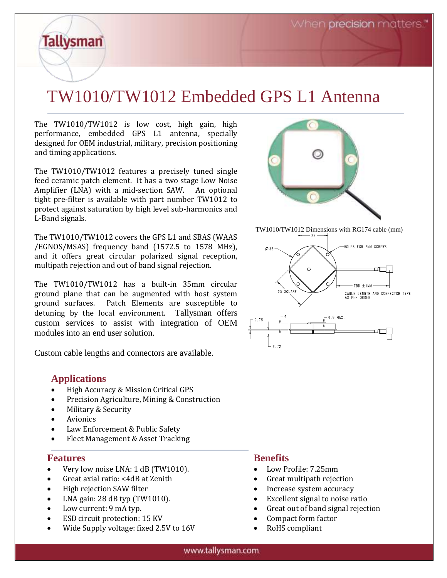# TW1010/TW1012 Embedded GPS L1 Antenna

The TW1010/TW1012 is low cost, high gain, high performance, embedded GPS L1 antenna, specially designed for OEM industrial, military, precision positioning and timing applications.

The TW1010/TW1012 features a precisely tuned single feed ceramic patch element. It has a two stage Low Noise Amplifier (LNA) with a mid-section SAW. An optional tight pre-filter is available with part number TW1012 to protect against saturation by high level sub-harmonics and L-Band signals.

The TW1010/TW1012 covers the GPS L1 and SBAS (WAAS /EGNOS/MSAS) frequency band (1572.5 to 1578 MHz), and it offers great circular polarized signal reception, multipath rejection and out of band signal rejection.

The TW1010/TW1012 has a built-in 35mm circular ground plane that can be augmented with host system ground surfaces. Patch Elements are susceptible to detuning by the local environment. Tallysman offers custom services to assist with integration of OEM modules into an end user solution.

Custom cable lengths and connectors are available.

#### **Applications**

**Tallysman** 

- High Accuracy & Mission Critical GPS
- Precision Agriculture, Mining & Construction
- Military & Security
- **Avionics**
- Law Enforcement & Public Safety
- Fleet Management & Asset Tracking

#### **Features**

- Very low noise LNA: 1 dB (TW1010).
- Great axial ratio: <4dB at Zenith
- High rejection SAW filter
- LNA gain: 28 dB typ (TW1010).
- Low current: 9 mA typ.
- ESD circuit protection: 15 KV
- Wide Supply voltage: fixed 2.5V to 16V



TW1010/TW1012 Dimensions with RG174 cable (mm)



#### **Benefits**

- Low Profile: 7.25mm
- Great multipath rejection
- Increase system accuracy
- Excellent signal to noise ratio
- Great out of band signal rejection
- Compact form factor
- RoHS compliant